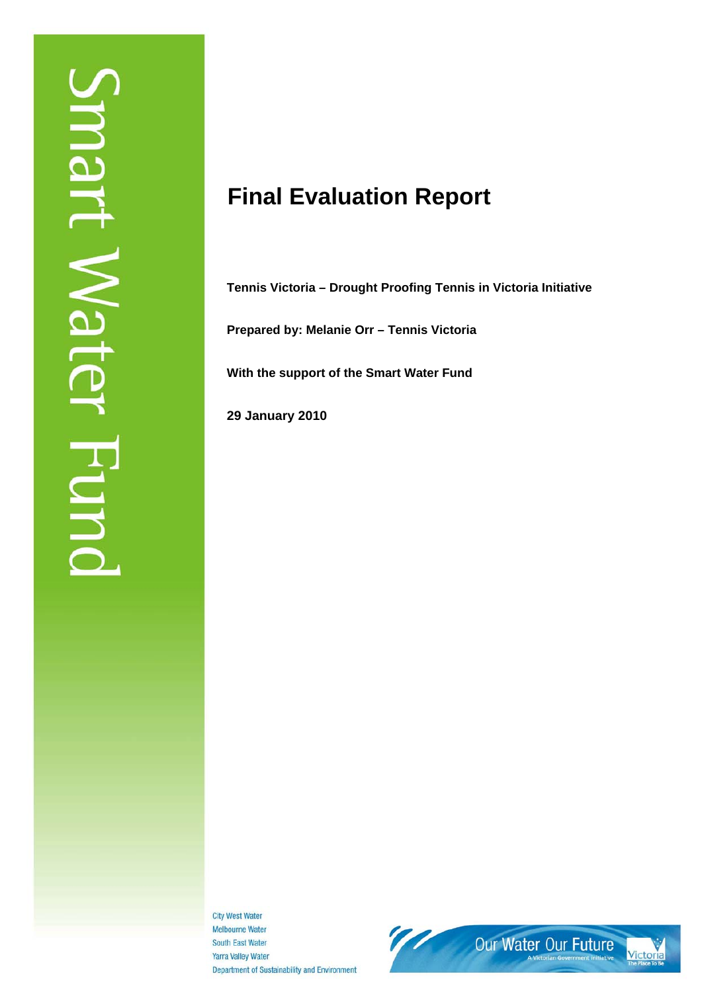# **Final Evaluation Report**

**Tennis Victoria – Drought Proofing Tennis in Victoria Initiative** 

**Prepared by: Melanie Orr – Tennis Victoria** 

**With the support of the Smart Water Fund** 

**29 January 2010** 

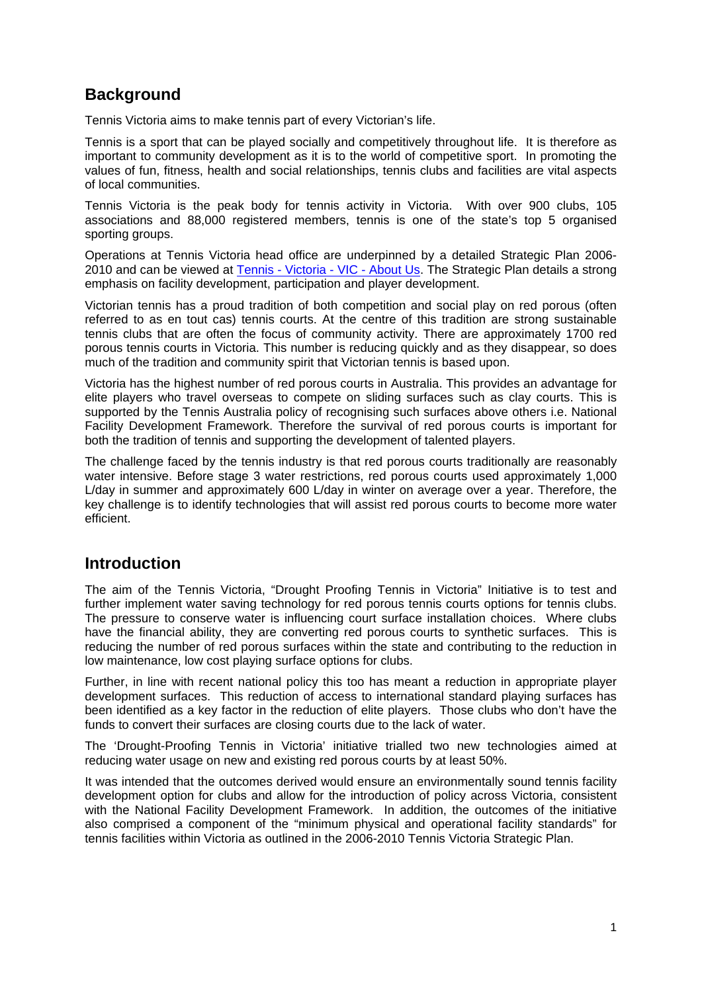## **Background**

Tennis Victoria aims to make tennis part of every Victorian's life.

Tennis is a sport that can be played socially and competitively throughout life. It is therefore as important to community development as it is to the world of competitive sport. In promoting the values of fun, fitness, health and social relationships, tennis clubs and facilities are vital aspects of local communities.

Tennis Victoria is the peak body for tennis activity in Victoria. With over 900 clubs, 105 associations and 88,000 registered members, tennis is one of the state's top 5 organised sporting groups.

Operations at Tennis Victoria head office are underpinned by a detailed Strategic Plan 2006- 2010 and can be viewed at Tennis - Victoria - VIC - About Us. The Strategic Plan details a strong emphasis on facility development, participation and player development.

Victorian tennis has a proud tradition of both competition and social play on red porous (often referred to as en tout cas) tennis courts. At the centre of this tradition are strong sustainable tennis clubs that are often the focus of community activity. There are approximately 1700 red porous tennis courts in Victoria. This number is reducing quickly and as they disappear, so does much of the tradition and community spirit that Victorian tennis is based upon.

Victoria has the highest number of red porous courts in Australia. This provides an advantage for elite players who travel overseas to compete on sliding surfaces such as clay courts. This is supported by the Tennis Australia policy of recognising such surfaces above others i.e. National Facility Development Framework. Therefore the survival of red porous courts is important for both the tradition of tennis and supporting the development of talented players.

The challenge faced by the tennis industry is that red porous courts traditionally are reasonably water intensive. Before stage 3 water restrictions, red porous courts used approximately 1,000 L/day in summer and approximately 600 L/day in winter on average over a year. Therefore, the key challenge is to identify technologies that will assist red porous courts to become more water efficient.

## **Introduction**

The aim of the Tennis Victoria, "Drought Proofing Tennis in Victoria" Initiative is to test and further implement water saving technology for red porous tennis courts options for tennis clubs. The pressure to conserve water is influencing court surface installation choices. Where clubs have the financial ability, they are converting red porous courts to synthetic surfaces. This is reducing the number of red porous surfaces within the state and contributing to the reduction in low maintenance, low cost playing surface options for clubs.

Further, in line with recent national policy this too has meant a reduction in appropriate player development surfaces. This reduction of access to international standard playing surfaces has been identified as a key factor in the reduction of elite players. Those clubs who don't have the funds to convert their surfaces are closing courts due to the lack of water.

The 'Drought-Proofing Tennis in Victoria' initiative trialled two new technologies aimed at reducing water usage on new and existing red porous courts by at least 50%.

It was intended that the outcomes derived would ensure an environmentally sound tennis facility development option for clubs and allow for the introduction of policy across Victoria, consistent with the National Facility Development Framework. In addition, the outcomes of the initiative also comprised a component of the "minimum physical and operational facility standards" for tennis facilities within Victoria as outlined in the 2006-2010 Tennis Victoria Strategic Plan.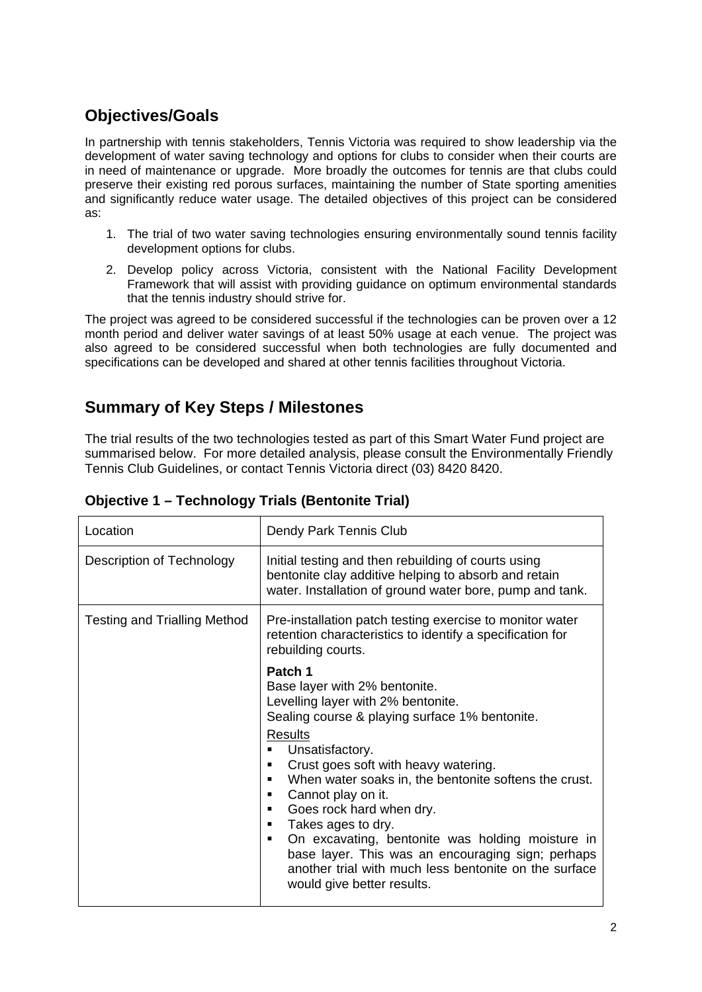## **Objectives/Goals**

In partnership with tennis stakeholders, Tennis Victoria was required to show leadership via the development of water saving technology and options for clubs to consider when their courts are in need of maintenance or upgrade. More broadly the outcomes for tennis are that clubs could preserve their existing red porous surfaces, maintaining the number of State sporting amenities and significantly reduce water usage. The detailed objectives of this project can be considered as:

- 1. The trial of two water saving technologies ensuring environmentally sound tennis facility development options for clubs.
- 2. Develop policy across Victoria, consistent with the National Facility Development Framework that will assist with providing guidance on optimum environmental standards that the tennis industry should strive for.

The project was agreed to be considered successful if the technologies can be proven over a 12 month period and deliver water savings of at least 50% usage at each venue. The project was also agreed to be considered successful when both technologies are fully documented and specifications can be developed and shared at other tennis facilities throughout Victoria.

## **Summary of Key Steps / Milestones**

The trial results of the two technologies tested as part of this Smart Water Fund project are summarised below. For more detailed analysis, please consult the Environmentally Friendly Tennis Club Guidelines, or contact Tennis Victoria direct (03) 8420 8420.

| Location                            | Dendy Park Tennis Club                                                                                                                                                                                                                                                                                                                                                                                                                                                                                                                                             |  |
|-------------------------------------|--------------------------------------------------------------------------------------------------------------------------------------------------------------------------------------------------------------------------------------------------------------------------------------------------------------------------------------------------------------------------------------------------------------------------------------------------------------------------------------------------------------------------------------------------------------------|--|
| Description of Technology           | Initial testing and then rebuilding of courts using<br>bentonite clay additive helping to absorb and retain<br>water. Installation of ground water bore, pump and tank.                                                                                                                                                                                                                                                                                                                                                                                            |  |
| <b>Testing and Trialling Method</b> | Pre-installation patch testing exercise to monitor water<br>retention characteristics to identify a specification for<br>rebuilding courts.                                                                                                                                                                                                                                                                                                                                                                                                                        |  |
|                                     | Patch 1<br>Base layer with 2% bentonite.<br>Levelling layer with 2% bentonite.<br>Sealing course & playing surface 1% bentonite.<br><b>Results</b><br>Unsatisfactory.<br>Crust goes soft with heavy watering.<br>When water soaks in, the bentonite softens the crust.<br>Cannot play on it.<br>٠<br>Goes rock hard when dry.<br>٠<br>Takes ages to dry.<br>٠<br>On excavating, bentonite was holding moisture in<br>٠<br>base layer. This was an encouraging sign; perhaps<br>another trial with much less bentonite on the surface<br>would give better results. |  |

**Objective 1 – Technology Trials (Bentonite Trial)**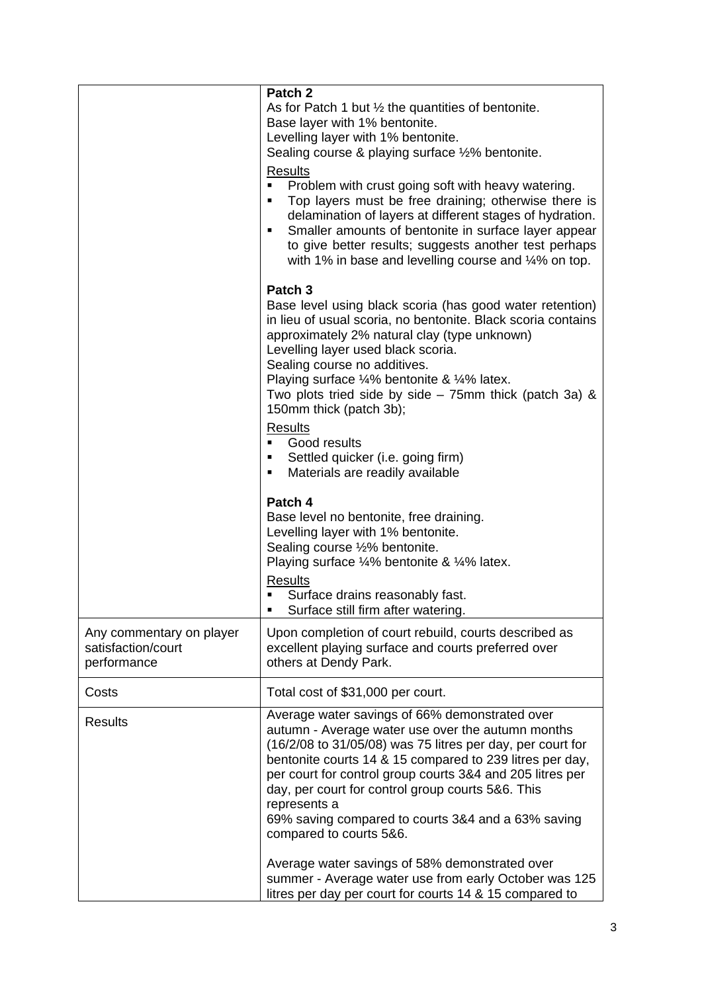|                                                               | Patch 2<br>As for Patch 1 but $\frac{1}{2}$ the quantities of bentonite.<br>Base layer with 1% bentonite.<br>Levelling layer with 1% bentonite.<br>Sealing course & playing surface 1/2% bentonite.<br>Results<br>Problem with crust going soft with heavy watering.<br>٠<br>Top layers must be free draining; otherwise there is<br>٠<br>delamination of layers at different stages of hydration.<br>Smaller amounts of bentonite in surface layer appear<br>٠<br>to give better results; suggests another test perhaps<br>with 1% in base and levelling course and $\frac{1}{4}$ % on top. |
|---------------------------------------------------------------|----------------------------------------------------------------------------------------------------------------------------------------------------------------------------------------------------------------------------------------------------------------------------------------------------------------------------------------------------------------------------------------------------------------------------------------------------------------------------------------------------------------------------------------------------------------------------------------------|
|                                                               | Patch <sub>3</sub><br>Base level using black scoria (has good water retention)<br>in lieu of usual scoria, no bentonite. Black scoria contains<br>approximately 2% natural clay (type unknown)<br>Levelling layer used black scoria.<br>Sealing course no additives.<br>Playing surface 1/4% bentonite & 1/4% latex.<br>Two plots tried side by side $-75$ mm thick (patch 3a) &<br>150mm thick (patch 3b);<br><b>Results</b><br>Good results<br>٠<br>Settled quicker (i.e. going firm)<br>п<br>Materials are readily available<br>п                                                         |
|                                                               | Patch 4<br>Base level no bentonite, free draining.<br>Levelling layer with 1% bentonite.<br>Sealing course 1/2% bentonite.<br>Playing surface 1/4% bentonite & 1/4% latex.<br><b>Results</b><br>Surface drains reasonably fast.<br>Surface still firm after watering.                                                                                                                                                                                                                                                                                                                        |
| Any commentary on player<br>satisfaction/court<br>performance | Upon completion of court rebuild, courts described as<br>excellent playing surface and courts preferred over<br>others at Dendy Park.                                                                                                                                                                                                                                                                                                                                                                                                                                                        |
| Costs                                                         | Total cost of \$31,000 per court.                                                                                                                                                                                                                                                                                                                                                                                                                                                                                                                                                            |
| <b>Results</b>                                                | Average water savings of 66% demonstrated over<br>autumn - Average water use over the autumn months<br>(16/2/08 to 31/05/08) was 75 litres per day, per court for<br>bentonite courts 14 & 15 compared to 239 litres per day,<br>per court for control group courts 3&4 and 205 litres per<br>day, per court for control group courts 5&6. This<br>represents a<br>69% saving compared to courts 3&4 and a 63% saving<br>compared to courts 5&6.                                                                                                                                             |
|                                                               | Average water savings of 58% demonstrated over<br>summer - Average water use from early October was 125<br>litres per day per court for courts 14 & 15 compared to                                                                                                                                                                                                                                                                                                                                                                                                                           |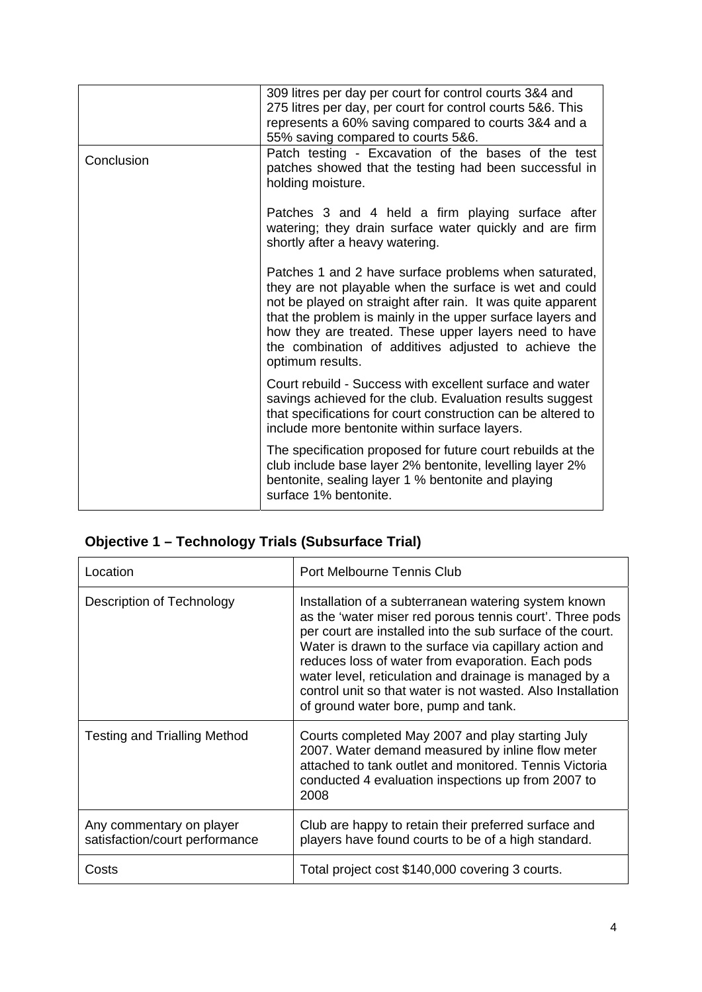|            | 309 litres per day per court for control courts 3&4 and<br>275 litres per day, per court for control courts 5&6. This<br>represents a 60% saving compared to courts 3&4 and a<br>55% saving compared to courts 5&6.                                                                                                                                                                |  |
|------------|------------------------------------------------------------------------------------------------------------------------------------------------------------------------------------------------------------------------------------------------------------------------------------------------------------------------------------------------------------------------------------|--|
| Conclusion | Patch testing - Excavation of the bases of the test<br>patches showed that the testing had been successful in<br>holding moisture.                                                                                                                                                                                                                                                 |  |
|            | Patches 3 and 4 held a firm playing surface after<br>watering; they drain surface water quickly and are firm<br>shortly after a heavy watering.                                                                                                                                                                                                                                    |  |
|            | Patches 1 and 2 have surface problems when saturated,<br>they are not playable when the surface is wet and could<br>not be played on straight after rain. It was quite apparent<br>that the problem is mainly in the upper surface layers and<br>how they are treated. These upper layers need to have<br>the combination of additives adjusted to achieve the<br>optimum results. |  |
|            | Court rebuild - Success with excellent surface and water<br>savings achieved for the club. Evaluation results suggest<br>that specifications for court construction can be altered to<br>include more bentonite within surface layers.                                                                                                                                             |  |
|            | The specification proposed for future court rebuilds at the<br>club include base layer 2% bentonite, levelling layer 2%<br>bentonite, sealing layer 1 % bentonite and playing<br>surface 1% bentonite.                                                                                                                                                                             |  |

## **Objective 1 – Technology Trials (Subsurface Trial)**

| Location                                                   | Port Melbourne Tennis Club                                                                                                                                                                                                                                                                                                                                                                                                                                     |  |
|------------------------------------------------------------|----------------------------------------------------------------------------------------------------------------------------------------------------------------------------------------------------------------------------------------------------------------------------------------------------------------------------------------------------------------------------------------------------------------------------------------------------------------|--|
| Description of Technology                                  | Installation of a subterranean watering system known<br>as the 'water miser red porous tennis court'. Three pods<br>per court are installed into the sub surface of the court.<br>Water is drawn to the surface via capillary action and<br>reduces loss of water from evaporation. Each pods<br>water level, reticulation and drainage is managed by a<br>control unit so that water is not wasted. Also Installation<br>of ground water bore, pump and tank. |  |
| <b>Testing and Trialling Method</b>                        | Courts completed May 2007 and play starting July<br>2007. Water demand measured by inline flow meter<br>attached to tank outlet and monitored. Tennis Victoria<br>conducted 4 evaluation inspections up from 2007 to<br>2008                                                                                                                                                                                                                                   |  |
| Any commentary on player<br>satisfaction/court performance | Club are happy to retain their preferred surface and<br>players have found courts to be of a high standard.                                                                                                                                                                                                                                                                                                                                                    |  |
| Costs                                                      | Total project cost \$140,000 covering 3 courts.                                                                                                                                                                                                                                                                                                                                                                                                                |  |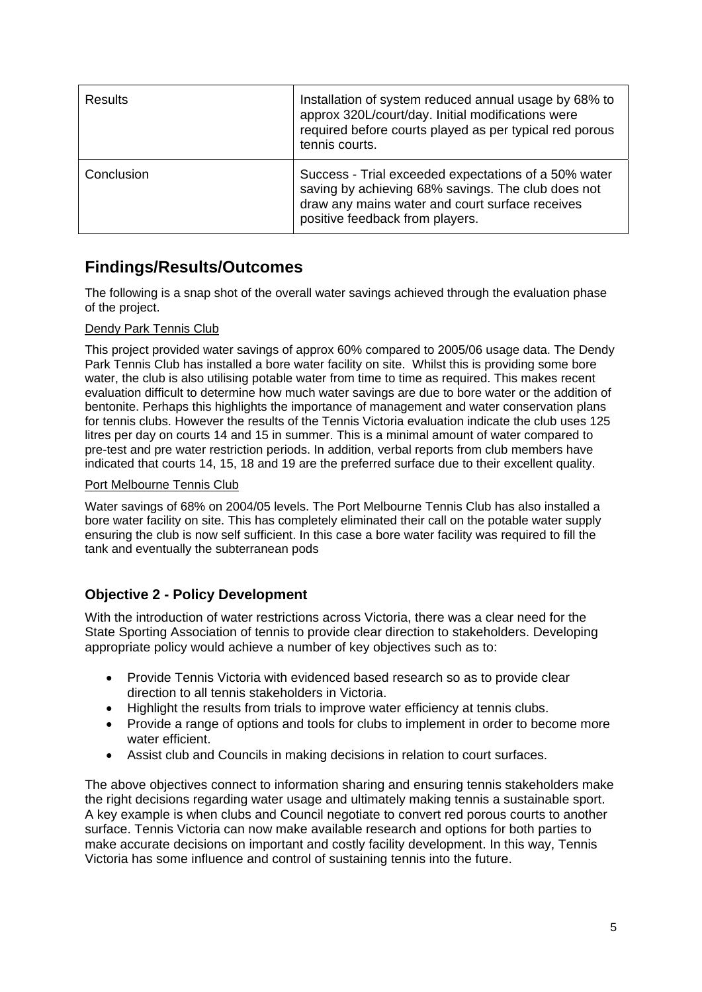| <b>Results</b> | Installation of system reduced annual usage by 68% to<br>approx 320L/court/day. Initial modifications were<br>required before courts played as per typical red porous<br>tennis courts.          |
|----------------|--------------------------------------------------------------------------------------------------------------------------------------------------------------------------------------------------|
| Conclusion     | Success - Trial exceeded expectations of a 50% water<br>saving by achieving 68% savings. The club does not<br>draw any mains water and court surface receives<br>positive feedback from players. |

## **Findings/Results/Outcomes**

The following is a snap shot of the overall water savings achieved through the evaluation phase of the project.

#### Dendy Park Tennis Club

This project provided water savings of approx 60% compared to 2005/06 usage data. The Dendy Park Tennis Club has installed a bore water facility on site. Whilst this is providing some bore water, the club is also utilising potable water from time to time as required. This makes recent evaluation difficult to determine how much water savings are due to bore water or the addition of bentonite. Perhaps this highlights the importance of management and water conservation plans for tennis clubs. However the results of the Tennis Victoria evaluation indicate the club uses 125 litres per day on courts 14 and 15 in summer. This is a minimal amount of water compared to pre-test and pre water restriction periods. In addition, verbal reports from club members have indicated that courts 14, 15, 18 and 19 are the preferred surface due to their excellent quality.

#### Port Melbourne Tennis Club

Water savings of 68% on 2004/05 levels. The Port Melbourne Tennis Club has also installed a bore water facility on site. This has completely eliminated their call on the potable water supply ensuring the club is now self sufficient. In this case a bore water facility was required to fill the tank and eventually the subterranean pods

### **Objective 2 - Policy Development**

With the introduction of water restrictions across Victoria, there was a clear need for the State Sporting Association of tennis to provide clear direction to stakeholders. Developing appropriate policy would achieve a number of key objectives such as to:

- Provide Tennis Victoria with evidenced based research so as to provide clear direction to all tennis stakeholders in Victoria.
- Highlight the results from trials to improve water efficiency at tennis clubs.
- Provide a range of options and tools for clubs to implement in order to become more water efficient.
- Assist club and Councils in making decisions in relation to court surfaces.

The above objectives connect to information sharing and ensuring tennis stakeholders make the right decisions regarding water usage and ultimately making tennis a sustainable sport. A key example is when clubs and Council negotiate to convert red porous courts to another surface. Tennis Victoria can now make available research and options for both parties to make accurate decisions on important and costly facility development. In this way, Tennis Victoria has some influence and control of sustaining tennis into the future.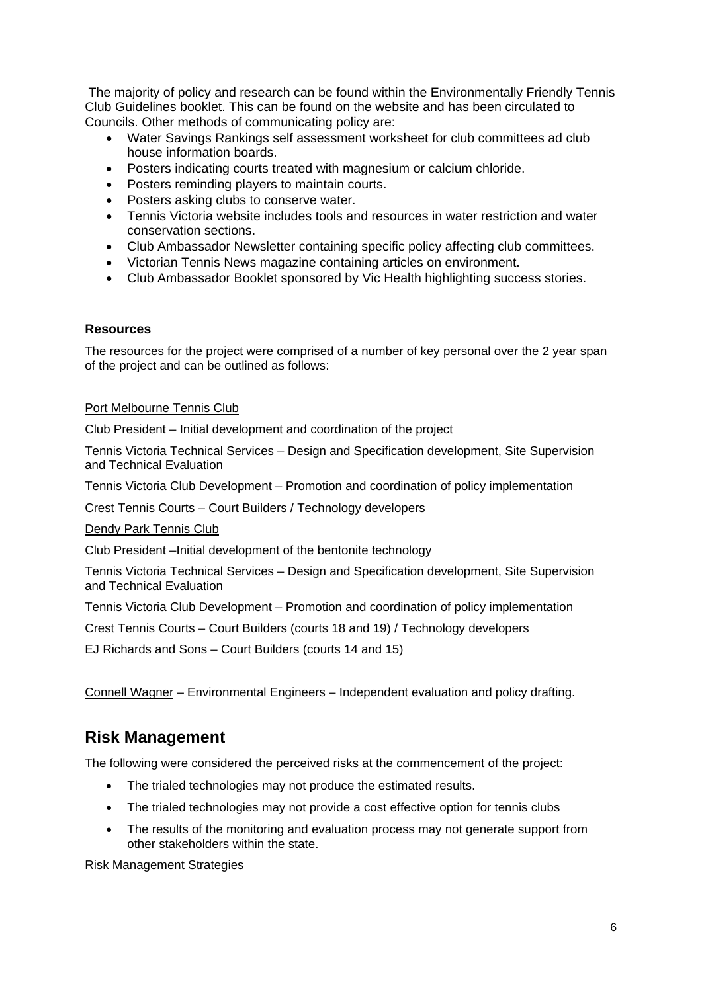The majority of policy and research can be found within the Environmentally Friendly Tennis Club Guidelines booklet. This can be found on the website and has been circulated to Councils. Other methods of communicating policy are:

- Water Savings Rankings self assessment worksheet for club committees ad club house information boards.
- Posters indicating courts treated with magnesium or calcium chloride.
- Posters reminding players to maintain courts.
- Posters asking clubs to conserve water.
- Tennis Victoria website includes tools and resources in water restriction and water conservation sections.
- Club Ambassador Newsletter containing specific policy affecting club committees.
- Victorian Tennis News magazine containing articles on environment.
- Club Ambassador Booklet sponsored by Vic Health highlighting success stories.

#### **Resources**

The resources for the project were comprised of a number of key personal over the 2 year span of the project and can be outlined as follows:

#### Port Melbourne Tennis Club

Club President – Initial development and coordination of the project

Tennis Victoria Technical Services – Design and Specification development, Site Supervision and Technical Evaluation

Tennis Victoria Club Development – Promotion and coordination of policy implementation

Crest Tennis Courts – Court Builders / Technology developers

#### Dendy Park Tennis Club

Club President –Initial development of the bentonite technology

Tennis Victoria Technical Services – Design and Specification development, Site Supervision and Technical Evaluation

Tennis Victoria Club Development – Promotion and coordination of policy implementation

Crest Tennis Courts – Court Builders (courts 18 and 19) / Technology developers

EJ Richards and Sons – Court Builders (courts 14 and 15)

Connell Wagner – Environmental Engineers – Independent evaluation and policy drafting.

## **Risk Management**

The following were considered the perceived risks at the commencement of the project:

- The trialed technologies may not produce the estimated results.
- The trialed technologies may not provide a cost effective option for tennis clubs
- The results of the monitoring and evaluation process may not generate support from other stakeholders within the state.

Risk Management Strategies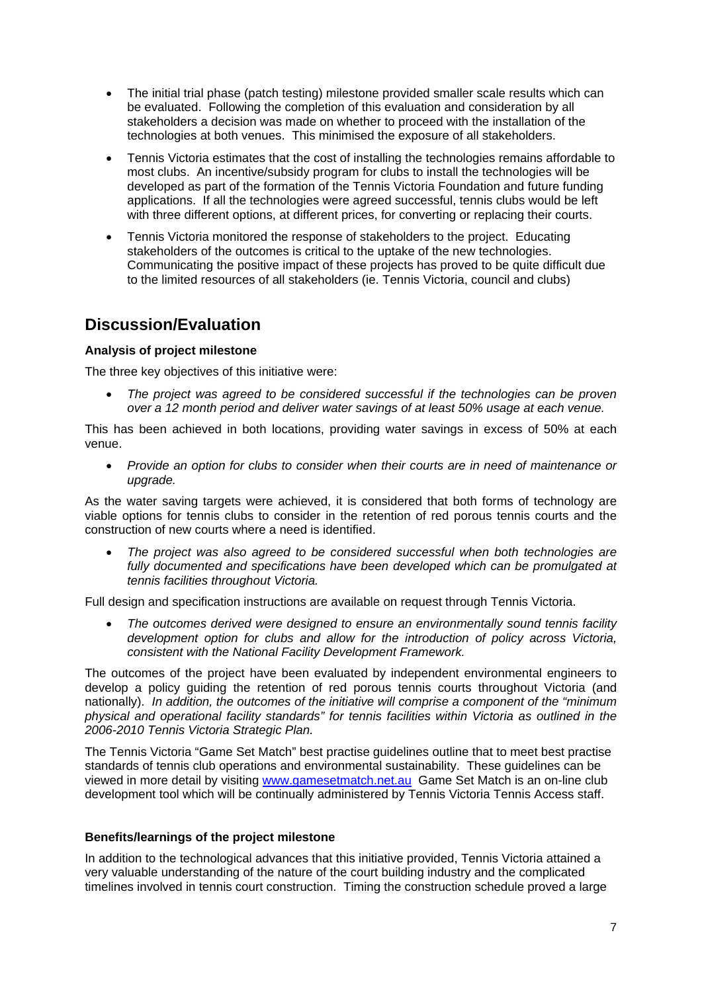- The initial trial phase (patch testing) milestone provided smaller scale results which can be evaluated. Following the completion of this evaluation and consideration by all stakeholders a decision was made on whether to proceed with the installation of the technologies at both venues. This minimised the exposure of all stakeholders.
- Tennis Victoria estimates that the cost of installing the technologies remains affordable to most clubs. An incentive/subsidy program for clubs to install the technologies will be developed as part of the formation of the Tennis Victoria Foundation and future funding applications. If all the technologies were agreed successful, tennis clubs would be left with three different options, at different prices, for converting or replacing their courts.
- Tennis Victoria monitored the response of stakeholders to the project. Educating stakeholders of the outcomes is critical to the uptake of the new technologies. Communicating the positive impact of these projects has proved to be quite difficult due to the limited resources of all stakeholders (ie. Tennis Victoria, council and clubs)

## **Discussion/Evaluation**

#### **Analysis of project milestone**

The three key objectives of this initiative were:

• *The project was agreed to be considered successful if the technologies can be proven over a 12 month period and deliver water savings of at least 50% usage at each venue.* 

This has been achieved in both locations, providing water savings in excess of 50% at each venue.

• *Provide an option for clubs to consider when their courts are in need of maintenance or upgrade.* 

As the water saving targets were achieved, it is considered that both forms of technology are viable options for tennis clubs to consider in the retention of red porous tennis courts and the construction of new courts where a need is identified.

• *The project was also agreed to be considered successful when both technologies are*  fully documented and specifications have been developed which can be promulgated at *tennis facilities throughout Victoria.* 

Full design and specification instructions are available on request through Tennis Victoria.

• *The outcomes derived were designed to ensure an environmentally sound tennis facility development option for clubs and allow for the introduction of policy across Victoria, consistent with the National Facility Development Framework.* 

The outcomes of the project have been evaluated by independent environmental engineers to develop a policy guiding the retention of red porous tennis courts throughout Victoria (and nationally). *In addition, the outcomes of the initiative will comprise a component of the "minimum physical and operational facility standards" for tennis facilities within Victoria as outlined in the 2006-2010 Tennis Victoria Strategic Plan.* 

The Tennis Victoria "Game Set Match" best practise guidelines outline that to meet best practise standards of tennis club operations and environmental sustainability. These guidelines can be viewed in more detail by visiting www.gamesetmatch.net.au Game Set Match is an on-line club development tool which will be continually administered by Tennis Victoria Tennis Access staff.

#### **Benefits/learnings of the project milestone**

In addition to the technological advances that this initiative provided, Tennis Victoria attained a very valuable understanding of the nature of the court building industry and the complicated timelines involved in tennis court construction. Timing the construction schedule proved a large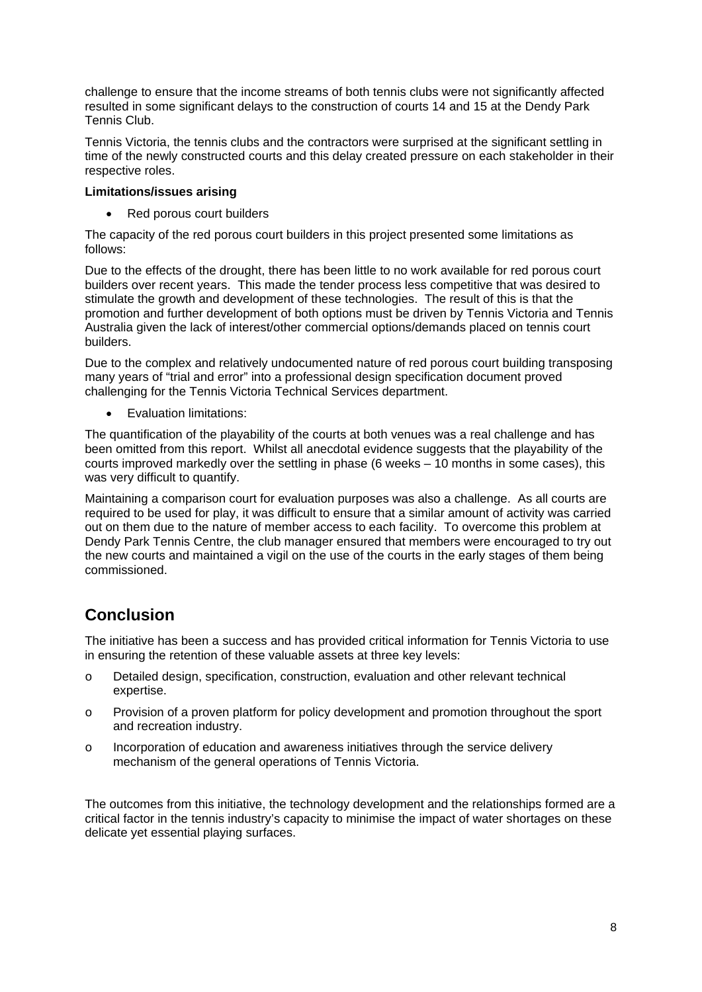challenge to ensure that the income streams of both tennis clubs were not significantly affected resulted in some significant delays to the construction of courts 14 and 15 at the Dendy Park Tennis Club.

Tennis Victoria, the tennis clubs and the contractors were surprised at the significant settling in time of the newly constructed courts and this delay created pressure on each stakeholder in their respective roles.

#### **Limitations/issues arising**

• Red porous court builders

The capacity of the red porous court builders in this project presented some limitations as follows:

Due to the effects of the drought, there has been little to no work available for red porous court builders over recent years. This made the tender process less competitive that was desired to stimulate the growth and development of these technologies. The result of this is that the promotion and further development of both options must be driven by Tennis Victoria and Tennis Australia given the lack of interest/other commercial options/demands placed on tennis court builders.

Due to the complex and relatively undocumented nature of red porous court building transposing many years of "trial and error" into a professional design specification document proved challenging for the Tennis Victoria Technical Services department.

• Evaluation limitations:

The quantification of the playability of the courts at both venues was a real challenge and has been omitted from this report. Whilst all anecdotal evidence suggests that the playability of the courts improved markedly over the settling in phase (6 weeks – 10 months in some cases), this was very difficult to quantify.

Maintaining a comparison court for evaluation purposes was also a challenge. As all courts are required to be used for play, it was difficult to ensure that a similar amount of activity was carried out on them due to the nature of member access to each facility. To overcome this problem at Dendy Park Tennis Centre, the club manager ensured that members were encouraged to try out the new courts and maintained a vigil on the use of the courts in the early stages of them being commissioned.

## **Conclusion**

The initiative has been a success and has provided critical information for Tennis Victoria to use in ensuring the retention of these valuable assets at three key levels:

- o Detailed design, specification, construction, evaluation and other relevant technical expertise.
- o Provision of a proven platform for policy development and promotion throughout the sport and recreation industry.
- o Incorporation of education and awareness initiatives through the service delivery mechanism of the general operations of Tennis Victoria.

The outcomes from this initiative, the technology development and the relationships formed are a critical factor in the tennis industry's capacity to minimise the impact of water shortages on these delicate yet essential playing surfaces.